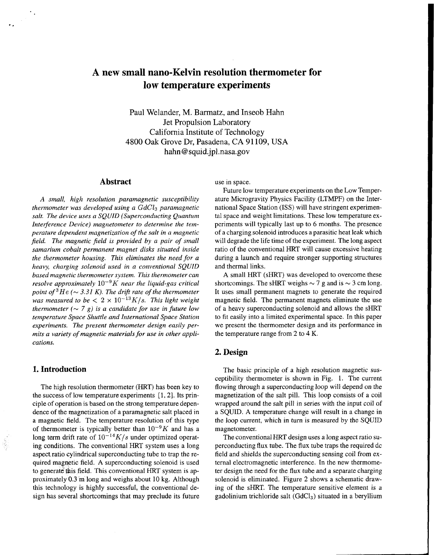# **A new small nano-Kelvin resolution thermometer for low temperature experiments**

Paul Welander, M. Barmatz, and Inseob Hahn Jet Propulsion Laboratory California Institute of Technology **4800** Oak Grove Dr, Pasadena, CA 91 109, **USA**  [hahn@squid.jpl.nasa.gov](mailto:hahn@squid.jpl.nasa.gov)

## **Abstract**

**A** *small, high resolution paramagnetic susceptibility thermometer was developed using a GdCl3 paramagnetic salt. The device uses a SQUID (Superconducting Quantum Interference Device) magnetometer to determine the temperature dependent magnetization of the salt in a magnetic jield. The magnetic jield is provided by a pair of small samarium cobalt permanent magnet disks situated inside the thermometer housing. This eliminates the need for a heavy, charging solenoid used in a conventional SQUID based magnetic thermometer system. This thermometer can resolve approximately*  $10^{-9}K$  *near the liquid-gas critical point of*  ${}^{3}He$  ( $\sim$  3.31 K). The drift rate of the thermometer *was measured to be*  $< 2 \times 10^{-13} K/s$ . *This light weight thermometer*  $({\sim 7 g})$  *is a candidate for use in future low temperature Space Shuttle and International Space Station experiments. The present thermometer design easily permits a variety of magnetic materials for use in other applications.* 

## **1. Introduction**

..

The high resolution thermometer (HRT) has been key to the success of low temperature experiments  $[1, 2]$ . Its principle of operation is based on the strong temperature dependence of the magnetization of a paramagnetic salt placed in a magnetic field. The temperature resolution of this type of thermometer is typically better than  $10^{-9}K$  and has a long term drift rate of  $10^{-14}K/s$  under optimized operating conditions. The conventional HRT system uses a long aspect ratio cylindrical superconducting tube to trap the required magnetic field. A superconducting solenoid is used to generate this field. This conventional HRT system is approximately 0.3 'm'long and weighs about 10 kg. Although this technology is highly successful, the conventional design has several shortcomings that may preclude its future use in space.

Future low temperature experiments on the Low Temperature Microgravity Physics Facility (LTMPF) on the International Space Station (ISS) will have stringent experimental space and weight limitations. These low temperature experiments will typically last up to 6 months. The presence of a charging solenoid introduces a parasitic heat leak which will degrade the life time of the experiment. The long aspect ratio of the conventional HRT will cause excessive heating during a launch and require stronger supporting structures and thermal links.

A small HRT (sHRT) was developed to overcome these shortcomings. The sHRT weighs  $\sim$  7 g and is  $\sim$  3 cm long. It uses small permanent magnets to generate the required magnetic field. The permanent magnets eliminate the use of a heavy superconducting solenoid and allows the sHRT to fit easily into a limited experimental space. In this paper we present the thermometer design and its performance in the temperature range from 2 to 4 K.

# **2. Design**

The basic principle of a high resolution magnetic susceptibility thermometer is shown in [Fig. 1.](#page-1-0) The current flowing through a superconducting loop will depend on the magnetization of the salt pill. This loop consists of a coil wrapped around the salt pill in series with the input coil of a SQUID. A temperature change will result in a change in the loop current, which in turn is measured by the SQUID magnetometer.

The conventional HRT design uses a long aspect ratio superconducting flux tube. The flux tube traps the required dc field and shields the superconducting sensing coil from external electromagnetic interference. In the new thermometer design the need for the flux tube and a separate charging solenoid is eliminated. [Figure 2](#page-1-0) shows a schematic drawing of the sHRT. The temperature sensitive element is a gadolinium trichloride salt  $(GdCl<sub>3</sub>)$  situated in a beryllium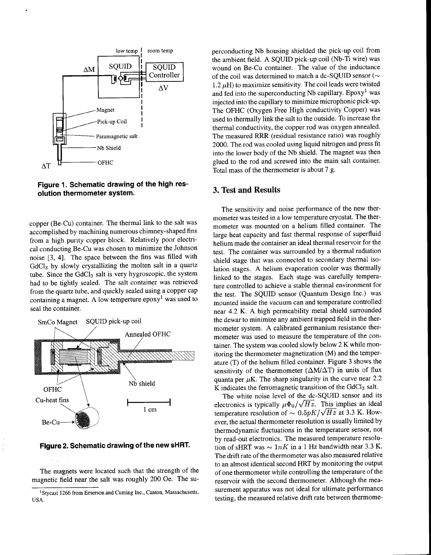<span id="page-1-0"></span>

**Figure 1. Schematic drawing of the high resolution thermometer system.** 

copper (Be-Cu) container. The thermal link to the salt was accomplished by machining numerous chimney-shaped fins from a high purity copper block. Relatively poor electrical conducting Be-Cu was chosen to minimize the Johnson noise [3, 41. The space between the fins was filled with GdC13 by slowly crystallizing the molten salt in a quartz tube. Since the GdCl<sub>3</sub> salt is very hygroscopic, the system had to be tightly sealed. The salt container was retrieved from the quartz tube, and quickly sealed using a copper cap containing a magnet. A low temperture  $epoxy<sup>1</sup>$  was used to seal the container.



**Figure 2. Schematic drawing of the new sHRT.** 

The magnets were located such that the strength of the magnetic field near the salt was roughly 200 Oe. The SU-

perconducting Nb housing shielded the pick-up coil from the ambient field. **A** SQUID pick-up coil (Nb-Ti wire) was wound on Be-Cu container. The value of the inductance of the coil was determined to match a dc-SQUID sensor ( $\sim$  $1.2 \mu$ H) to maximize sensitivity. The coil leads were twisted and fed into the superconducting Nb capillary. Epoxy<sup>1</sup> was injected into the capillary to minimize microphonic pick-up. The OFHC (Oxygen Free High conductivity Copper) was used to thermally link the salt to the outside. To increase the thermal conductivity, the copper rod was oxygen annealed. The measured RRR (residual resistance ratio) was roughly 2000. The rod was cooled using liquid nitrogen and press fit into the lower body of the Nb shield. The magnet was then glued to the rod and screwed into the main salt container. Total mass of the thermometer is about 7 g.

#### **3. Test and Results**

The sensitivity and noise performance of the new thermometer was tested in a low temperature cryostat. The thermometer was mounted on a helium filled container. The large heat capacity and fast thermal response of superfluid helium made the container an ideal thermal reservoir for the test. The container was surrounded by a thermal radiation shield stage that was connected to secondary thermal isolation stages. A helium evaporation cooler was thermally linked to the stages. Each stage was carefully temperature controlled to achieve a stable thermal environment for the test. The SQUID sensor (Quantum Design Inc.) was mounted inside the vacuum can and temperature controlled near 4.2 K. A high permeability metal shield surrounded the dewar to minimize any ambient trapped field in the thermometer system. A calibrated germanium resistance thermometer was used to measure the temperature of the container. The system was cooled slowly below 2 K while monitoring the thermometer magnetization (M) and the temperature (T) of the helium filled container. [Figure 3](#page-2-0) shows the sensitivity of the thermometer  $(\Delta M/\Delta T)$  in units of flux quanta per  $\mu$ K. The sharp singularity in the curve near 2.2  $\overline{K}$  indicates the ferromagnetic transition of the GdCl<sub>3</sub> salt.

The white noise level of the dc-SQUID sensor and its electronics is typically  $\mu \Phi_0 / \sqrt{Hz}$ . This implies an ideal temperature resolution of  $\sim 0.5pK/\sqrt{Hz}$  at 3.3 K. However, the actual thermometer resolution is usually limited by thermodynamic fluctuations in the temperature sensor, not by read-out electronics. The measured temperature resolution of sHRT was  $\sim 1 nK$  in a 1 Hz bandwidth near 3.3 K. The drift rate of the thermometer was also measured relative to an almost identical second HRT by monitoring the output of one thermometer while controlling the temperature of the reservoir with the second thermometer. Although the measurement apparatus was not ideal for ultimate performance testing, the measured relative drift rate between thermome-

<sup>&</sup>lt;sup>1</sup> Stycast 1266 from Emerson and Cuming Inc., Canton, Massachusetts, **USA.**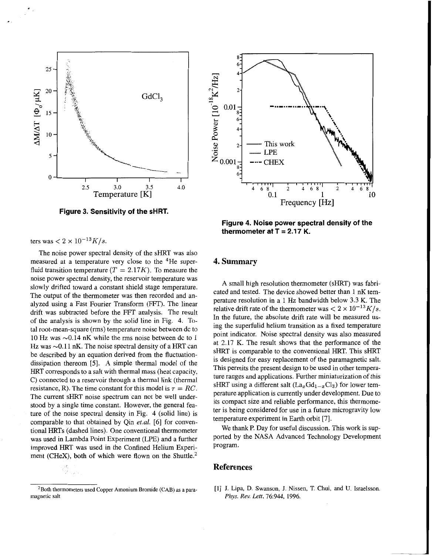<span id="page-2-0"></span>

**Figure 3. Sensitivity of the sHRT.** 

ters was  $< 2 \times 10^{-13} K/s$ .

The noise power spectral density of the sHRT was also measured at a temperature very close to the 4He superfluid transition temperature  $(T = 2.17K)$ . To measure the noise power spectral density, the reservoir temperature was slowly drifted toward a constant shield stage temperature. The output of the thermometer was then recorded and analyzed using a Fast Fourier Transform (FFT). The linear drift was subtracted before the FFT analysis. The result of the analysis is shown by the solid line in Fig. 4. Total root-mean-square (rms) temperature noise between dc to 10 Hz was  $\sim$ 0.14 nK while the rms noise between dc to 1 Hz was  $\sim$ 0.11 nK. The noise spectral density of a HRT can be described by an equation derived from the fluctuationdissipation thereom [5]. A simple thermal model of the HRT corresponds to a salt with thermal mass (heat capacity, C) connected to a reservoir through a thermal link (thermal resistance, R). The time constant for this model is  $\tau = RC$ . The current sHRT noise spectrum can not be well understood by a single time constant. However, the general feature of the noise spectral density in Fig. 4 (solid line) is comparable to that obtained by Qin *et.al.* [6] for conventional HRTs (dashed lines). One conventional thermometer was used in Lambda Point Experiment (LPE) and a further improved HRT was used in the Confined Helium Experiment **(CHeX)**, both of which were flown on the Shuttle.<sup>2</sup>



**Figure 4. Noise power spectral density of the**  thermometer at  $T = 2.17$  K.

## **4. Summary**

A small high resolution thermometer (sHRT) was fabricated and tested. The device showed better than 1 nK temperature resolution in a 1 Hz bandwidth below 3.3 K. The relative drift rate of the thermometer was  $\langle 2 \times 10^{-13} K/s.$ In the future, the absolute drift rate will be measured using the superfulid helium transition as a fixed temperature point indicator. Noise spectral density was also measured at 2.17 K. The result shows that the performance of the **sHRT** is comparable to the conventional HRT. This sHRT is designed for easy replacement of the paramagnetic salt. This permits the present design to be used in other temperature ranges and applications. Further miniaturization of this sHRT using a different salt  $(La_xGd_{1-x}Cl_3)$  for lower temperature application is currently under development. Due to its compact size and reliable performance, this thermometer is being considered for use in a future microgravity low temperature experiment in Earth orbit [7].

We thank P. Day for useful discussion. This work is supported by the NASA Advanced Technology Development program.

### **References**

[l] J. Lipa, D. Swanson, J. Nissen, T. Chui, and **U.** Israelsson. *Phys. Rev. Lett,* 76:944, **1996.** 

<sup>2</sup>Both thermometers **used** Copper Amonium **Bromide** (CAB) **as** a paramagnetic salt